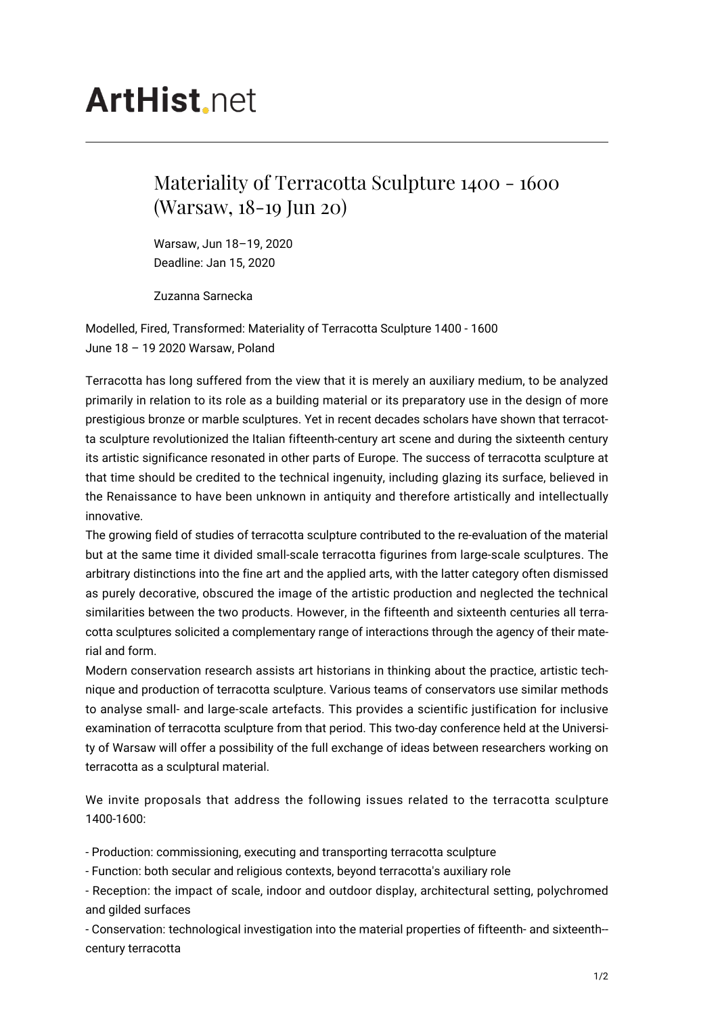## **ArtHist** net

## Materiality of Terracotta Sculpture 1400 - 1600 (Warsaw, 18-19 Jun 20)

Warsaw, Jun 18–19, 2020 Deadline: Jan 15, 2020

Zuzanna Sarnecka

Modelled, Fired, Transformed: Materiality of Terracotta Sculpture 1400 - 1600 June 18 – 19 2020 Warsaw, Poland

Terracotta has long suffered from the view that it is merely an auxiliary medium, to be analyzed primarily in relation to its role as a building material or its preparatory use in the design of more prestigious bronze or marble sculptures. Yet in recent decades scholars have shown that terracotta sculpture revolutionized the Italian fifteenth-century art scene and during the sixteenth century its artistic significance resonated in other parts of Europe. The success of terracotta sculpture at that time should be credited to the technical ingenuity, including glazing its surface, believed in the Renaissance to have been unknown in antiquity and therefore artistically and intellectually innovative.

The growing field of studies of terracotta sculpture contributed to the re-evaluation of the material but at the same time it divided small-scale terracotta figurines from large-scale sculptures. The arbitrary distinctions into the fine art and the applied arts, with the latter category often dismissed as purely decorative, obscured the image of the artistic production and neglected the technical similarities between the two products. However, in the fifteenth and sixteenth centuries all terracotta sculptures solicited a complementary range of interactions through the agency of their material and form.

Modern conservation research assists art historians in thinking about the practice, artistic technique and production of terracotta sculpture. Various teams of conservators use similar methods to analyse small- and large-scale artefacts. This provides a scientific justification for inclusive examination of terracotta sculpture from that period. This two-day conference held at the University of Warsaw will offer a possibility of the full exchange of ideas between researchers working on terracotta as a sculptural material.

We invite proposals that address the following issues related to the terracotta sculpture 1400-1600:

- Production: commissioning, executing and transporting terracotta sculpture

- Function: both secular and religious contexts, beyond terracotta's auxiliary role

- Reception: the impact of scale, indoor and outdoor display, architectural setting, polychromed and gilded surfaces

- Conservation: technological investigation into the material properties of fifteenth- and sixteenth- century terracotta